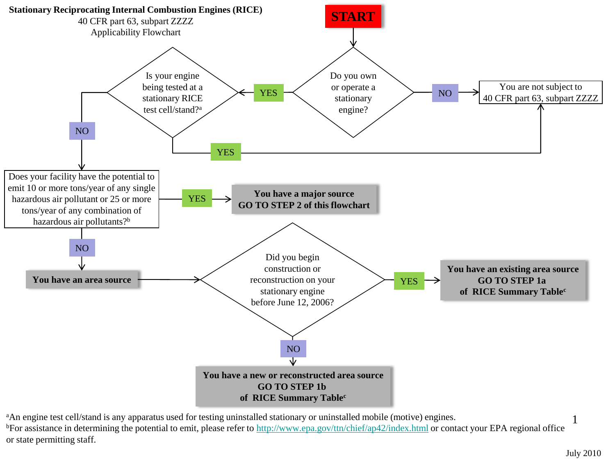

<sup>a</sup>An engine test cell/stand is any apparatus used for testing uninstalled stationary or uninstalled mobile (motive) engines. bFor assistance in determining the potential to emit, please refer to<http://www.epa.gov/ttn/chief/ap42/index.html> or contact your EPA regional office or state permitting staff.

1